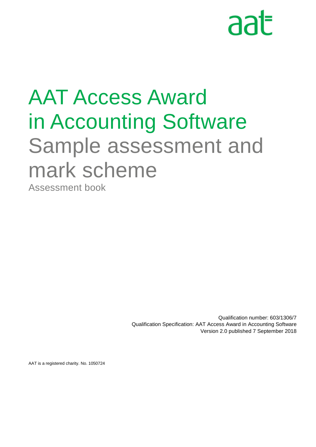# aat

## AAT Access Award in Accounting Software Sample assessment and mark scheme

Assessment book

Qualification number: 603/1306/7 Qualification Specification: AAT Access Award in Accounting Software Version 2.0 published 7 September 2018

AAT is a registered charity. No. 1050724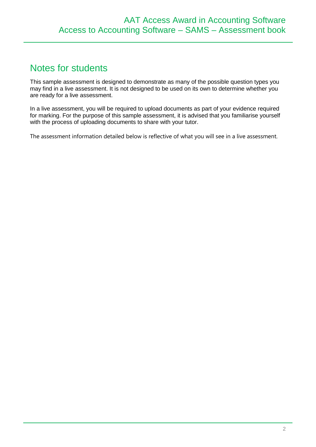## Notes for students

This sample assessment is designed to demonstrate as many of the possible question types you may find in a live assessment. It is not designed to be used on its own to determine whether you are ready for a live assessment.

In a live assessment, you will be required to upload documents as part of your evidence required for marking. For the purpose of this sample assessment, it is advised that you familiarise yourself with the process of uploading documents to share with your tutor.

The assessment information detailed below is reflective of what you will see in a live assessment.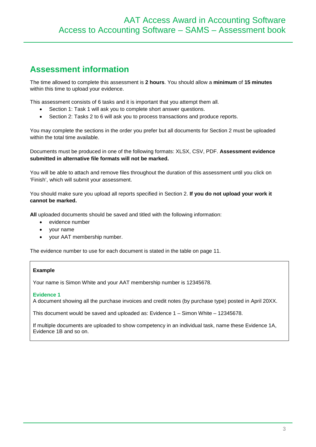## **Assessment information**

The time allowed to complete this assessment is **2 hours**. You should allow a **minimum** of **15 minutes**  within this time to upload your evidence.

This assessment consists of 6 tasks and it is important that you attempt them all.

- Section 1: Task 1 will ask you to complete short answer questions.
- Section 2: Tasks 2 to 6 will ask you to process transactions and produce reports.

You may complete the sections in the order you prefer but all documents for Section 2 must be uploaded within the total time available.

Documents must be produced in one of the following formats: XLSX, CSV, PDF. **Assessment evidence submitted in alternative file formats will not be marked.**

You will be able to attach and remove files throughout the duration of this assessment until you click on 'Finish', which will submit your assessment.

You should make sure you upload all reports specified in Section 2. **If you do not upload your work it cannot be marked.**

**All** uploaded documents should be saved and titled with the following information:

- evidence number
- your name
- your AAT membership number.

The evidence number to use for each document is stated in the table on page 11.

#### **Example**

Your name is Simon White and your AAT membership number is 12345678.

#### **Evidence 1**

A document showing all the purchase invoices and credit notes (by purchase type) posted in April 20XX.

This document would be saved and uploaded as: Evidence 1 – Simon White – 12345678.

If multiple documents are uploaded to show competency in an individual task, name these Evidence 1A, Evidence 1B and so on.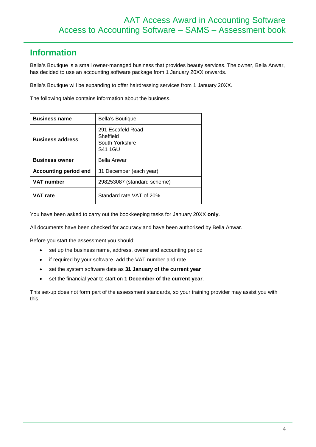## **Information**

Bella's Boutique is a small owner-managed business that provides beauty services. The owner, Bella Anwar, has decided to use an accounting software package from 1 January 20XX onwards.

Bella's Boutique will be expanding to offer hairdressing services from 1 January 20XX.

The following table contains information about the business.

| <b>Business name</b>         | Bella's Boutique                                             |  |  |
|------------------------------|--------------------------------------------------------------|--|--|
| <b>Business address</b>      | 291 Escafeld Road<br>Sheffield<br>South Yorkshire<br>S41 1GU |  |  |
| <b>Business owner</b>        | Bella Anwar                                                  |  |  |
| <b>Accounting period end</b> | 31 December (each year)                                      |  |  |
| <b>VAT number</b>            | 298253087 (standard scheme)                                  |  |  |
| VAT rate                     | Standard rate VAT of 20%                                     |  |  |

You have been asked to carry out the bookkeeping tasks for January 20XX **only**.

All documents have been checked for accuracy and have been authorised by Bella Anwar.

Before you start the assessment you should:

- set up the business name, address, owner and accounting period
- if required by your software, add the VAT number and rate
- set the system software date as **31 January of the current year**
- set the financial year to start on **1 December of the current year**.

This set-up does not form part of the assessment standards, so your training provider may assist you with this.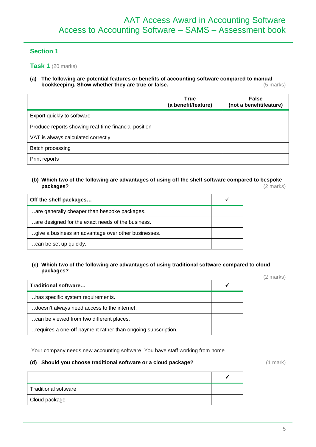## **Section 1**

**Task 1** (20 marks)

**(a) The following are potential features or benefits of accounting software compared to manual**  bookkeeping. Show whether they are true or false.

|                                                      | <b>True</b><br>(a benefit/feature) | <b>False</b><br>(not a benefit/feature) |
|------------------------------------------------------|------------------------------------|-----------------------------------------|
| Export quickly to software                           |                                    |                                         |
| Produce reports showing real-time financial position |                                    |                                         |
| VAT is always calculated correctly                   |                                    |                                         |
| Batch processing                                     |                                    |                                         |
| Print reports                                        |                                    |                                         |

## **(b) Which two of the following are advantages of using off the shelf software compared to bespoke packages?** (2 marks)

| Off the shelf packages                              |  |
|-----------------------------------------------------|--|
| are generally cheaper than bespoke packages.        |  |
| are designed for the exact needs of the business.   |  |
| give a business an advantage over other businesses. |  |
| can be set up quickly.                              |  |

#### **(c) Which two of the following are advantages of using traditional software compared to cloud packages?** (2 marks)

| Traditional software                                         |  |
|--------------------------------------------------------------|--|
| has specific system requirements.                            |  |
| doesn't always need access to the internet.                  |  |
| can be viewed from two different places.                     |  |
| requires a one-off payment rather than ongoing subscription. |  |

Your company needs new accounting software. You have staff working from home.

## **(d) Should you choose traditional software or a cloud package?** (1 mark)

| Traditional software |  |
|----------------------|--|
| Cloud package        |  |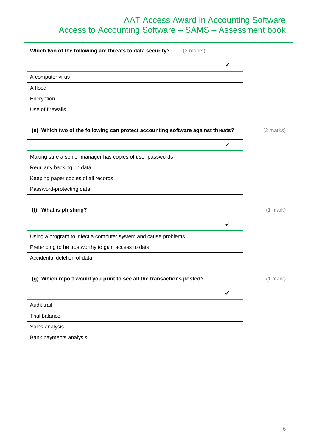## AAT Access Award in Accounting Software Access to Accounting Software – SAMS – Assessment book

**Which two of the following are threats to data security?** (2 marks)

| A computer virus |  |
|------------------|--|
| A flood          |  |
| Encryption       |  |
| Use of firewalls |  |

## **(e) Which two of the following can protect accounting software against threats?** (2 marks)

 $\checkmark$ Making sure a senior manager has copies of user passwords Regularly backing up data Keeping paper copies of all records Password-protecting data

## **(f) What is phishing?** (1 mark)

| Using a program to infect a computer system and cause problems |  |
|----------------------------------------------------------------|--|
| Pretending to be trustworthy to gain access to data            |  |
| Accidental deletion of data                                    |  |

## **(g)** Which report would you print to see all the transactions posted? (1 mark) (1 mark)

| Audit trail            |  |
|------------------------|--|
| <b>Trial balance</b>   |  |
| Sales analysis         |  |
| Bank payments analysis |  |
|                        |  |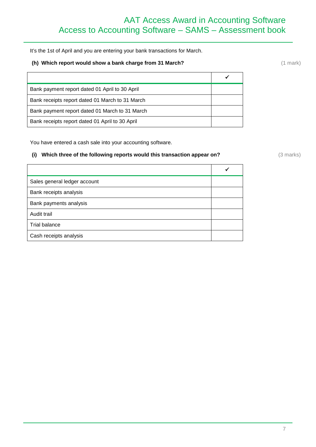It's the 1st of April and you are entering your bank transactions for March.

## **(h)** Which report would show a bank charge from 31 March? (1 mark) (1 mark)

 $\checkmark$ Bank payment report dated 01 April to 30 April Bank receipts report dated 01 March to 31 March Bank payment report dated 01 March to 31 March

You have entered a cash sale into your accounting software.

Bank receipts report dated 01 April to 30 April

## **(i)** Which three of the following reports would this transaction appear on? (3 marks)

| Sales general ledger account |  |
|------------------------------|--|
| Bank receipts analysis       |  |
| Bank payments analysis       |  |
| Audit trail                  |  |
| Trial balance                |  |
| Cash receipts analysis       |  |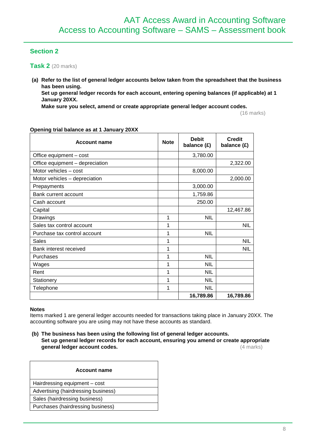## **Section 2**

**Task 2** (20 marks)

**(a) Refer to the list of general ledger accounts below taken from the spreadsheet that the business has been using.**

**Set up general ledger records for each account, entering opening balances (if applicable) at 1 January 20XX.** 

**Make sure you select, amend or create appropriate general ledger account codes.**

(16 marks)

| <b>Account name</b>             | <b>Note</b> | <b>Debit</b><br>balance (£) | <b>Credit</b><br>balance (£) |  |
|---------------------------------|-------------|-----------------------------|------------------------------|--|
| Office equipment - cost         |             | 3,780.00                    |                              |  |
| Office equipment - depreciation |             |                             | 2,322.00                     |  |
| Motor vehicles - cost           |             | 8,000.00                    |                              |  |
| Motor vehicles - depreciation   |             |                             | 2,000.00                     |  |
| Prepayments                     |             | 3,000.00                    |                              |  |
| Bank current account            |             | 1,759.86                    |                              |  |
| Cash account                    |             | 250.00                      |                              |  |
| Capital                         |             |                             | 12,467.86                    |  |
| Drawings                        | 1           | <b>NIL</b>                  |                              |  |
| Sales tax control account       | 1           |                             | <b>NIL</b>                   |  |
| Purchase tax control account    | 1           | <b>NIL</b>                  |                              |  |
| Sales                           | 1           |                             | <b>NIL</b>                   |  |
| Bank interest received          | 1           |                             | <b>NIL</b>                   |  |
| Purchases                       | 1           | <b>NIL</b>                  |                              |  |
| Wages                           | 1           | <b>NIL</b>                  |                              |  |
| Rent                            | 1           | NIL                         |                              |  |
| Stationery                      | 1           | <b>NIL</b>                  |                              |  |
| Telephone                       | 1           | <b>NIL</b>                  |                              |  |
|                                 |             | 16,789.86                   | 16,789.86                    |  |

## **Opening trial balance as at 1 January 20XX**

#### **Notes**

Items marked 1 are general ledger accounts needed for transactions taking place in January 20XX. The accounting software you are using may not have these accounts as standard.

**(b) The business has been using the following list of general ledger accounts. Set up general ledger records for each account, ensuring you amend or create appropriate general ledger account codes.** (4 marks)

| <b>Account name</b>                 |
|-------------------------------------|
| Hairdressing equipment - cost       |
| Advertising (hairdressing business) |
| Sales (hairdressing business)       |
| Purchases (hairdressing business)   |
|                                     |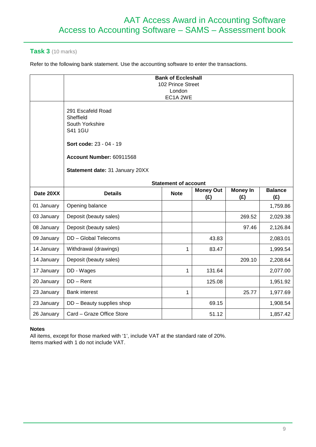## **Task 3** (10 marks)

Refer to the following bank statement. Use the accounting software to enter the transactions.

|            | <b>Bank of Eccleshall</b><br>102 Prince Street<br>London<br>EC1A <sub>2WE</sub>                                                                               |                             |                         |                        |                       |
|------------|---------------------------------------------------------------------------------------------------------------------------------------------------------------|-----------------------------|-------------------------|------------------------|-----------------------|
|            | 291 Escafeld Road<br>Sheffield<br>South Yorkshire<br><b>S41 1GU</b><br>Sort code: 23 - 04 - 19<br>Account Number: 60911568<br>Statement date: 31 January 20XX |                             |                         |                        |                       |
|            |                                                                                                                                                               | <b>Statement of account</b> |                         |                        |                       |
| Date 20XX  | <b>Details</b>                                                                                                                                                | <b>Note</b>                 | <b>Money Out</b><br>(E) | <b>Money In</b><br>(E) | <b>Balance</b><br>(E) |
| 01 January | Opening balance                                                                                                                                               |                             |                         |                        | 1,759.86              |
| 03 January | Deposit (beauty sales)                                                                                                                                        |                             |                         | 269.52                 | 2,029.38              |
| 08 January | Deposit (beauty sales)                                                                                                                                        |                             |                         | 97.46                  | 2,126.84              |
| 09 January | DD - Global Telecoms                                                                                                                                          |                             | 43.83                   |                        | 2,083.01              |
| 14 January | Withdrawal (drawings)                                                                                                                                         | $\mathbf{1}$                | 83.47                   |                        | 1,999.54              |
| 14 January | Deposit (beauty sales)                                                                                                                                        |                             |                         | 209.10                 | 2,208.64              |
| 17 January | DD - Wages                                                                                                                                                    | $\mathbf{1}$                | 131.64                  |                        | 2,077.00              |
| 20 January | $DD - Rent$                                                                                                                                                   |                             | 125.08                  |                        | 1,951.92              |
| 23 January | <b>Bank interest</b>                                                                                                                                          | 1                           |                         | 25.77                  | 1,977.69              |
| 23 January | DD - Beauty supplies shop                                                                                                                                     |                             | 69.15                   |                        | 1,908.54              |
| 26 January | Card - Graze Office Store                                                                                                                                     |                             | 51.12                   |                        | 1,857.42              |

## **Notes**

All items, except for those marked with '1', include VAT at the standard rate of 20%. Items marked with 1 do not include VAT.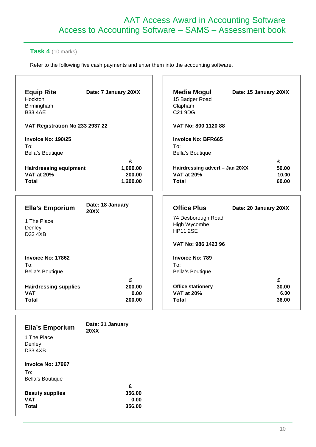## AAT Access Award in Accounting Software Access to Accounting Software – SAMS – Assessment book

 $\Gamma$ 

## **Task 4** (10 marks)

Refer to the following five cash payments and enter them into the accounting software.

| <b>Equip Rite</b><br>Hockton<br>Birmingham<br><b>B33 4AE</b>       | Date: 7 January 20XX                | <b>Media Mogul</b><br>15 Badger Road<br>Clapham<br>C21 9DG          | Date: 15 January 20XX        |
|--------------------------------------------------------------------|-------------------------------------|---------------------------------------------------------------------|------------------------------|
| VAT Registration No 233 2937 22                                    |                                     | VAT No: 800 1120 88                                                 |                              |
| Invoice No: 190/25<br>To:<br>Bella's Boutique                      |                                     | <b>Invoice No: BFR665</b><br>To:<br>Bella's Boutique                |                              |
| <b>Hairdressing equipment</b><br><b>VAT at 20%</b><br><b>Total</b> | £<br>1,000.00<br>200.00<br>1,200.00 | Hairdressing advert - Jan 20XX<br><b>VAT at 20%</b><br><b>Total</b> | £<br>50.00<br>10.00<br>60.00 |
| <b>Ella's Emporium</b>                                             | Date: 18 January<br><b>20XX</b>     | <b>Office Plus</b>                                                  | Date: 20 January 20XX        |
| 1 The Place<br>Denley<br>D33 4XB                                   |                                     | 74 Desborough Road<br>High Wycombe<br><b>HP11 2SE</b>               |                              |
|                                                                    |                                     | VAT No: 986 1423 96                                                 |                              |
| Invoice No: 17862<br>To:<br>Bella's Boutique                       |                                     | <b>Invoice No: 789</b><br>To:<br>Bella's Boutique                   |                              |
| <b>Hairdressing supplies</b><br><b>VAT</b><br><b>Total</b>         | £<br>200.00<br>0.00<br>200.00       | <b>Office stationery</b><br><b>VAT at 20%</b><br><b>Total</b>       | £<br>30.00<br>6.00<br>36.00  |
| <b>Ella's Emporium</b>                                             | Date: 31 January<br><b>20XX</b>     |                                                                     |                              |
| 1 The Place<br>Denley<br>D33 4XB                                   |                                     |                                                                     |                              |
| Invoice No: 17967                                                  |                                     |                                                                     |                              |
| To:<br>Bella's Boutique                                            |                                     |                                                                     |                              |
| <b>Beauty supplies</b><br><b>VAT</b>                               | £<br>356.00<br>0.00                 |                                                                     |                              |
| <b>Total</b>                                                       | 356.00                              |                                                                     |                              |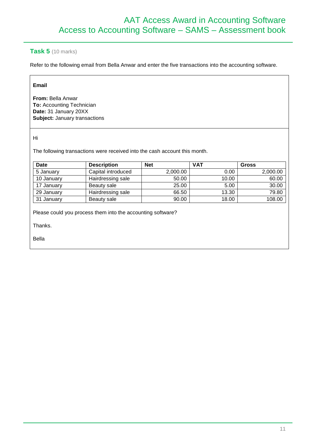## **Task 5** (10 marks)

Refer to the following email from Bella Anwar and enter the five transactions into the accounting software.

## **Email**

**From:** Bella Anwar **To:** Accounting Technician **Date:** 31 January 20XX **Subject:** January transactions

Hi

The following transactions were received into the cash account this month.

| <b>Date</b> | <b>Description</b> | <b>Net</b> | <b>VAT</b> | Gross    |
|-------------|--------------------|------------|------------|----------|
| 5 January   | Capital introduced | 2,000.00   | 0.00       | 2,000.00 |
| 10 January  | Hairdressing sale  | 50.00      | 10.00      | 60.00    |
| 17 January  | Beauty sale        | 25.00      | 5.00       | 30.00    |
| 29 January  | Hairdressing sale  | 66.50      | 13.30      | 79.80    |
| 31 January  | Beauty sale        | 90.00      | 18.00      | 108.00   |

Please could you process them into the accounting software?

Thanks.

Bella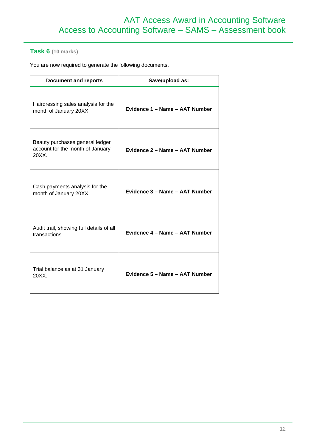## **Task 6 (10 marks)**

You are now required to generate the following documents.

| <b>Document and reports</b>                                                  | Save/upload as:                |
|------------------------------------------------------------------------------|--------------------------------|
| Hairdressing sales analysis for the<br>month of January 20XX.                | Evidence 1 - Name - AAT Number |
| Beauty purchases general ledger<br>account for the month of January<br>20XX. | Evidence 2 – Name – AAT Number |
| Cash payments analysis for the<br>month of January 20XX.                     | Evidence 3 - Name - AAT Number |
| Audit trail, showing full details of all<br>transactions.                    | Evidence 4 - Name - AAT Number |
| Trial balance as at 31 January<br>20XX.                                      | Evidence 5 - Name - AAT Number |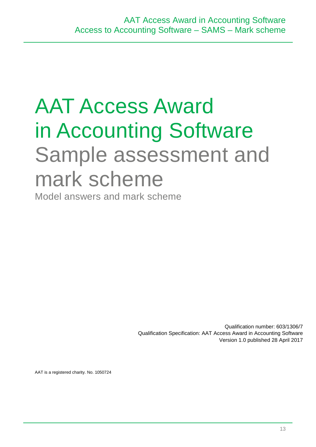## AAT Access Award in Accounting Software Sample assessment and mark scheme

Model answers and mark scheme

Qualification number: 603/1306/7 Qualification Specification: AAT Access Award in Accounting Software Version 1.0 published 28 April 2017

AAT is a registered charity. No. 1050724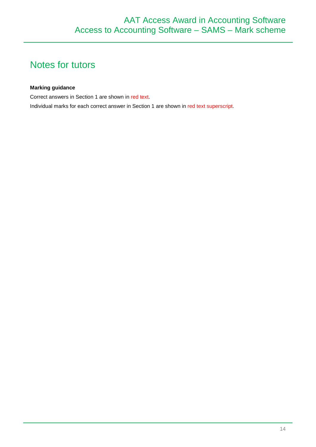## Notes for tutors

## **Marking guidance**

Correct answers in Section 1 are shown in red text.

Individual marks for each correct answer in Section 1 are shown in red text superscript.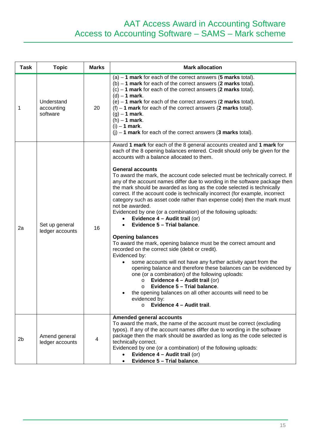## AAT Access Award in Accounting Software Access to Accounting Software – SAMS – Mark scheme

| <b>Task</b>    | <b>Topic</b>                         | <b>Marks</b> | <b>Mark allocation</b>                                                                                                                                                                                                                                                                                                                                                                                                                                                                                                                                                                                                                                                                                                                                                                                                                                                                                                                                                                                                                                                                                                                                                                                                                                                                                                                                                                            |
|----------------|--------------------------------------|--------------|---------------------------------------------------------------------------------------------------------------------------------------------------------------------------------------------------------------------------------------------------------------------------------------------------------------------------------------------------------------------------------------------------------------------------------------------------------------------------------------------------------------------------------------------------------------------------------------------------------------------------------------------------------------------------------------------------------------------------------------------------------------------------------------------------------------------------------------------------------------------------------------------------------------------------------------------------------------------------------------------------------------------------------------------------------------------------------------------------------------------------------------------------------------------------------------------------------------------------------------------------------------------------------------------------------------------------------------------------------------------------------------------------|
| 1              | Understand<br>accounting<br>software | 20           | $(a) - 1$ mark for each of the correct answers (5 marks total).<br>$(b) - 1$ mark for each of the correct answers (2 marks total).<br>$(c) - 1$ mark for each of the correct answers (2 marks total).<br>$(d) - 1$ mark.<br>$(e) - 1$ mark for each of the correct answers (2 marks total).<br>$(f) - 1$ mark for each of the correct answers (2 marks total).<br>$(g) - 1$ mark.<br>$(h) - 1$ mark.<br>$(i) - 1$ mark.<br>$(i) - 1$ mark for each of the correct answers (3 marks total).                                                                                                                                                                                                                                                                                                                                                                                                                                                                                                                                                                                                                                                                                                                                                                                                                                                                                                        |
| 2a             | Set up general<br>ledger accounts    | 16           | Award 1 mark for each of the 8 general accounts created and 1 mark for<br>each of the 8 opening balances entered. Credit should only be given for the<br>accounts with a balance allocated to them.<br><b>General accounts</b><br>To award the mark, the account code selected must be technically correct. If<br>any of the account names differ due to wording in the software package then<br>the mark should be awarded as long as the code selected is technically<br>correct. If the account code is technically incorrect (for example, incorrect<br>category such as asset code rather than expense code) then the mark must<br>not be awarded.<br>Evidenced by one (or a combination) of the following uploads:<br>Evidence 4 - Audit trail (or)<br>$\bullet$<br>Evidence 5 - Trial balance.<br>$\bullet$<br><b>Opening balances</b><br>To award the mark, opening balance must be the correct amount and<br>recorded on the correct side (debit or credit).<br>Evidenced by:<br>some accounts will not have any further activity apart from the<br>opening balance and therefore these balances can be evidenced by<br>one (or a combination) of the following uploads:<br>Evidence $4 -$ Audit trail (or)<br>$\circ$<br>Evidence 5 - Trial balance.<br>$\Omega$<br>the opening balances on all other accounts will need to be<br>evidenced by:<br>Evidence 4 - Audit trail.<br>$\circ$ |
| 2 <sub>b</sub> | Amend general<br>ledger accounts     | 4            | <b>Amended general accounts</b><br>To award the mark, the name of the account must be correct (excluding<br>typos). If any of the account names differ due to wording in the software<br>package then the mark should be awarded as long as the code selected is<br>technically correct.<br>Evidenced by one (or a combination) of the following uploads:<br>Evidence 4 - Audit trail (or)<br>Evidence 5 - Trial balance.<br>$\bullet$                                                                                                                                                                                                                                                                                                                                                                                                                                                                                                                                                                                                                                                                                                                                                                                                                                                                                                                                                            |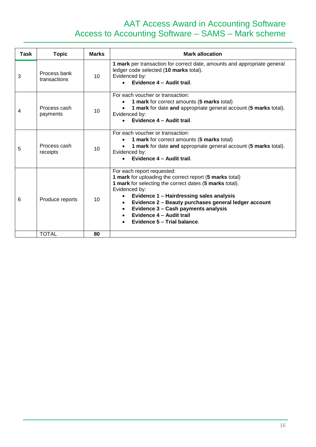## AAT Access Award in Accounting Software Access to Accounting Software – SAMS – Mark scheme

| Task | <b>Topic</b>                 | <b>Marks</b>    | <b>Mark allocation</b>                                                                                                                                                                                                                                                                                                                                                                                         |
|------|------------------------------|-----------------|----------------------------------------------------------------------------------------------------------------------------------------------------------------------------------------------------------------------------------------------------------------------------------------------------------------------------------------------------------------------------------------------------------------|
| 3    | Process bank<br>transactions | 10              | 1 mark per transaction for correct date, amounts and appropriate general<br>ledger code selected (10 marks total).<br>Evidenced by:<br>Evidence 4 - Audit trail.                                                                                                                                                                                                                                               |
| 4    | Process cash<br>payments     | 10              | For each voucher or transaction:<br>1 mark for correct amounts (5 marks total)<br>1 mark for date and appropriate general account (5 marks total).<br>Evidenced by:<br>Evidence 4 - Audit trail.                                                                                                                                                                                                               |
| 5    | Process cash<br>receipts     | 10 <sup>1</sup> | For each voucher or transaction:<br>1 mark for correct amounts (5 marks total)<br>1 mark for date and appropriate general account (5 marks total).<br>Evidenced by:<br>Evidence 4 - Audit trail.                                                                                                                                                                                                               |
| 6    | Produce reports              | 10              | For each report requested:<br>1 mark for uploading the correct report (5 marks total)<br>1 mark for selecting the correct dates (5 marks total).<br>Evidenced by:<br>Evidence 1 - Hairdressing sales analysis<br>Evidence 2 - Beauty purchases general ledger account<br>$\bullet$<br>Evidence 3 - Cash payments analysis<br>$\bullet$<br>Evidence 4 - Audit trail<br>$\bullet$<br>Evidence 5 - Trial balance. |
|      | <b>TOTAL</b>                 | 80              |                                                                                                                                                                                                                                                                                                                                                                                                                |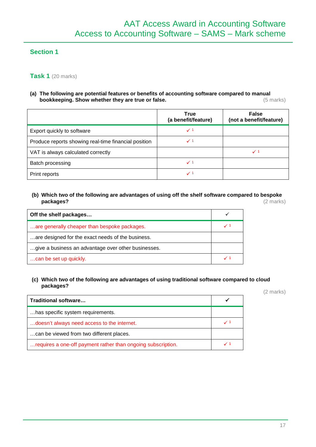## **Section 1**

## **Task 1** (20 marks)

#### **(a) The following are potential features or benefits of accounting software compared to manual bookkeeping. Show whether they are true or false. https://www.facebookkeeping. Show whether they are true or false.** (5 marks)

|                                                      | <b>True</b><br>(a benefit/feature) | <b>False</b><br>(not a benefit/feature) |
|------------------------------------------------------|------------------------------------|-----------------------------------------|
| Export quickly to software                           | $\checkmark$ 1                     |                                         |
| Produce reports showing real-time financial position | $\checkmark$ 1                     |                                         |
| VAT is always calculated correctly                   |                                    | ✓                                       |
| Batch processing                                     | $\checkmark$ 1                     |                                         |
| Print reports                                        | $\checkmark$ 1                     |                                         |

## **(b) Which two of the following are advantages of using off the shelf software compared to bespoke packages?** (2 marks)

| Off the shelf packages                              |  |
|-----------------------------------------------------|--|
| are generally cheaper than bespoke packages.        |  |
| are designed for the exact needs of the business.   |  |
| give a business an advantage over other businesses. |  |
| can be set up quickly.                              |  |

## **(c) Which two of the following are advantages of using traditional software compared to cloud packages?**

(2 marks)

| Traditional software                                         |                |
|--------------------------------------------------------------|----------------|
| has specific system requirements.                            |                |
| doesn't always need access to the internet.                  |                |
| can be viewed from two different places.                     |                |
| requires a one-off payment rather than ongoing subscription. | $\checkmark$ 1 |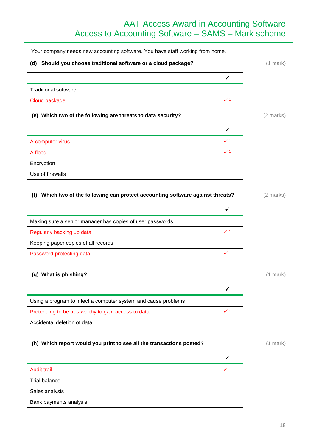Your company needs new accounting software. You have staff working from home.

#### **(d) Should you choose traditional software or a cloud package?** (1 mark)

| Traditional software |  |
|----------------------|--|
| Cloud package        |  |

#### **(e) Which two of the following are threats to data security?** (2 marks)

 $\checkmark$ A computer virus  $\sqrt{1}$ A flood  $\sqrt{1-\frac{1}{2}}$ Encryption Use of firewalls

## **(f) Which two of the following can protect accounting software against threats?** (2 marks)

| Making sure a senior manager has copies of user passwords |  |
|-----------------------------------------------------------|--|
| Regularly backing up data                                 |  |
| Keeping paper copies of all records                       |  |
| Password-protecting data                                  |  |

#### **(g) What is phishing?** (1 mark)

| Using a program to infect a computer system and cause problems |              |
|----------------------------------------------------------------|--------------|
| Pretending to be trustworthy to gain access to data            | $\checkmark$ |
| Accidental deletion of data                                    |              |

#### **(h)** Which report would you print to see all the transactions posted? (1 mark) (1 mark)

| <b>Audit trail</b>     | $\checkmark$ 1 |
|------------------------|----------------|
| Trial balance          |                |
| Sales analysis         |                |
| Bank payments analysis |                |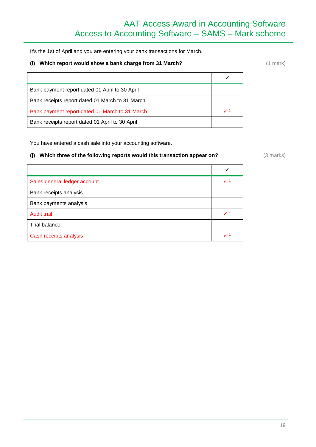## AAT Access Award in Accounting Software Access to Accounting Software – SAMS – Mark scheme

It's the 1st of April and you are entering your bank transactions for March.

#### **(i)** Which report would show a bank charge from 31 March? (1 mark) (1 mark)

| Bank payment report dated 01 April to 30 April  |  |
|-------------------------------------------------|--|
| Bank receipts report dated 01 March to 31 March |  |
| Bank payment report dated 01 March to 31 March  |  |
| Bank receipts report dated 01 April to 30 April |  |

You have entered a cash sale into your accounting software.

## (j) Which three of the following reports would this transaction appear on? (3 marks)

| Sales general ledger account | $\checkmark$ 1 |
|------------------------------|----------------|
| Bank receipts analysis       |                |
| Bank payments analysis       |                |
| <b>Audit trail</b>           | $\checkmark$ 1 |
| <b>Trial balance</b>         |                |
| Cash receipts analysis       | $\checkmark$ 1 |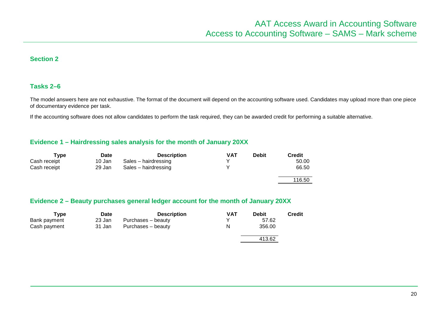## **Section 2**

## **Tasks 2–6**

The model answers here are not exhaustive. The format of the document will depend on the accounting software used. Candidates may upload more than one piece of documentary evidence per task.

If the accounting software does not allow candidates to perform the task required, they can be awarded credit for performing a suitable alternative.

## **Evidence 1 – Hairdressing sales analysis for the month of January 20XX**

| Type         | <b>Date</b> | <b>Description</b>   | VAT | <b>Debit</b> | Credit |
|--------------|-------------|----------------------|-----|--------------|--------|
| Cash receipt | 10 Jan      | Sales - hairdressing |     |              | 50.00  |
| Cash receipt | 29 Jan      | Sales - hairdressing |     |              | 66.50  |
|              |             |                      |     |              | 116.50 |

## **Evidence 2 – Beauty purchases general ledger account for the month of January 20XX**

| Type         | <b>Date</b> | <b>Description</b> | <b>VAT</b> | Debit  | Credit |
|--------------|-------------|--------------------|------------|--------|--------|
| Bank payment | 23 Jan      | Purchases – beauty |            | 57.62  |        |
| Cash payment | 31 Jan      | Purchases – beauty | N          | 356.00 |        |
|              |             |                    |            | 413.62 |        |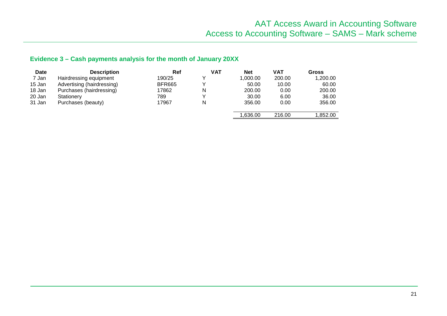## **Evidence 3 – Cash payments analysis for the month of January 20XX**

| Date   | <b>Description</b>         | Ref           | <b>VAT</b> | <b>Net</b> | <b>VAT</b> | Gross    |
|--------|----------------------------|---------------|------------|------------|------------|----------|
| 7 Jan  | Hairdressing equipment     | 190/25        | v          | 1,000.00   | 200.00     | 1,200.00 |
| 15 Jan | Advertising (hairdressing) | <b>BFR665</b> |            | 50.00      | 10.00      | 60.00    |
| 18 Jan | Purchases (hairdressing)   | 17862         | N          | 200.00     | 0.00       | 200.00   |
| 20 Jan | Stationery                 | 789           | v          | 30.00      | 6.00       | 36.00    |
| 31 Jan | Purchases (beauty)         | 17967         | N          | 356.00     | 0.00       | 356.00   |
|        |                            |               |            | 1,636.00   | 216.00     | 1.852.00 |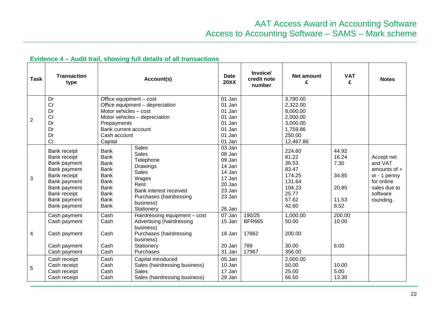| <b>Task</b>    | <b>Transaction</b><br>type                                                                                                                                   |                                                                                                                                                    | Account(s)                                                                                                                                                             | <b>Date</b><br><b>20XX</b>                                                                       | Invoice/<br>credit note<br>number                | Net amount<br>£                                                                             | <b>VAT</b><br>£                                           | <b>Notes</b>                                                                                                   |
|----------------|--------------------------------------------------------------------------------------------------------------------------------------------------------------|----------------------------------------------------------------------------------------------------------------------------------------------------|------------------------------------------------------------------------------------------------------------------------------------------------------------------------|--------------------------------------------------------------------------------------------------|--------------------------------------------------|---------------------------------------------------------------------------------------------|-----------------------------------------------------------|----------------------------------------------------------------------------------------------------------------|
| $\overline{2}$ | Dr<br>Cr<br>Dr<br>Cr<br>Dr<br>Dr<br>Dr<br>Cr                                                                                                                 | Office equipment - cost<br>Motor vehicles - cost<br>Prepayments<br>Bank current account<br>Cash account<br>Capital                                 | Office equipment - depreciation<br>Motor vehicles - depreciation                                                                                                       | 01 Jan<br>01 Jan<br>01 Jan<br>01 Jan<br>01 Jan<br>01 Jan<br>01 Jan<br>01 Jan                     |                                                  | 3,780.00<br>2,322.00<br>8,000.00<br>2,000.00<br>3,000.00<br>1,759.86<br>250.00<br>12,467.86 |                                                           |                                                                                                                |
| 3              | Bank receipt<br>Bank receipt<br>Bank payment<br>Bank payment<br>Bank receipt<br>Bank payment<br>Bank payment<br>Bank receipt<br>Bank payment<br>Bank payment | <b>Bank</b><br><b>Bank</b><br><b>Bank</b><br><b>Bank</b><br><b>Bank</b><br><b>Bank</b><br><b>Bank</b><br><b>Bank</b><br><b>Bank</b><br><b>Bank</b> | <b>Sales</b><br><b>Sales</b><br>Telephone<br>Drawings<br><b>Sales</b><br>Wages<br>Rent<br>Bank interest received<br>Purchases (hairdressing<br>business)<br>Stationery | 03 Jan<br>08 Jan<br>09 Jan<br>14 Jan<br>14 Jan<br>17 Jan<br>20 Jan<br>23 Jan<br>23 Jan<br>26 Jan |                                                  | 224.60<br>81.22<br>36.53<br>83.47<br>174.25<br>131.64<br>104.23<br>25.77<br>57.62<br>42.60  | 44.92<br>16.24<br>7.30<br>34.85<br>20.85<br>11.53<br>8.52 | Accept net<br>and VAT<br>amounts of $+$<br>or - 1 penny<br>for online<br>sales due to<br>software<br>rounding. |
| 4              | Cash payment<br>Cash payment<br>Cash payment<br>Cash payment<br>Cash payment                                                                                 | Cash<br>Cash<br>Cash<br>Cash<br>Cash                                                                                                               | Hairdressing equipment - cost<br>Advertising (hairdressing<br>business)<br>Purchases (hairdressing<br>business)<br>Stationery<br>Purchases                             | $\overline{0}$ 7 Jan<br>15 Jan<br>18 Jan<br>20 Jan<br>31 Jan                                     | 190/25<br><b>BFR665</b><br>17862<br>789<br>17967 | 1,000.00<br>50.00<br>200.00<br>30.00<br>356.00                                              | 200.00<br>10.00<br>6.00                                   |                                                                                                                |
| 5              | Cash receipt<br>Cash receipt<br>Cash receipt<br>Cash receipt                                                                                                 | Cash<br>Cash<br>Cash<br>Cash                                                                                                                       | Capital introduced<br>Sales (hairdressing business)<br><b>Sales</b><br>Sales (hairdressing business)                                                                   | 05 Jan<br>10 Jan<br>17 Jan<br>29 Jan                                                             |                                                  | 2,000.00<br>50.00<br>25.00<br>66.50                                                         | 10.00<br>5.00<br>13.30                                    |                                                                                                                |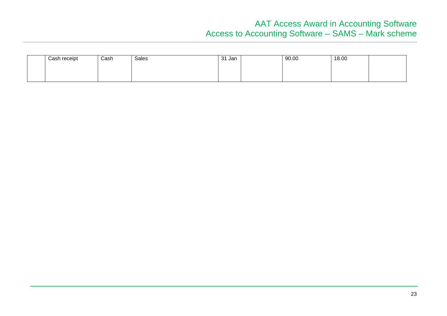## AAT Access Award in Accounting Software Access to Accounting Software – SAMS – Mark scheme

| Cash receipt | Cash | Sales | -31<br>Jan | 90.00 | 18.00 |  |
|--------------|------|-------|------------|-------|-------|--|
|              |      |       |            |       |       |  |
|              |      |       |            |       |       |  |